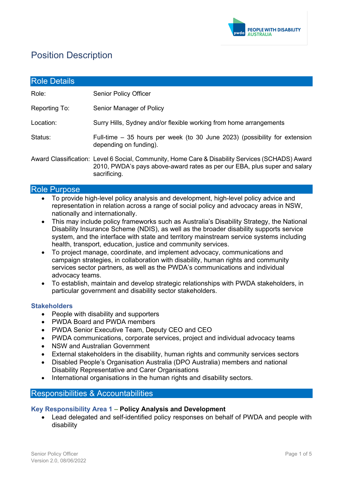

# Position Description

| <b>Role Details</b> |                                                                                                                                                                                              |
|---------------------|----------------------------------------------------------------------------------------------------------------------------------------------------------------------------------------------|
| Role:               | <b>Senior Policy Officer</b>                                                                                                                                                                 |
| Reporting To:       | Senior Manager of Policy                                                                                                                                                                     |
| Location:           | Surry Hills, Sydney and/or flexible working from home arrangements                                                                                                                           |
| Status:             | Full-time $-35$ hours per week (to 30 June 2023) (possibility for extension<br>depending on funding).                                                                                        |
|                     | Award Classification: Level 6 Social, Community, Home Care & Disability Services (SCHADS) Award<br>2010, PWDA's pays above-award rates as per our EBA, plus super and salary<br>sacrificing. |

#### Role Purpose

- To provide high-level policy analysis and development, high-level policy advice and representation in relation across a range of social policy and advocacy areas in NSW, nationally and internationally.
- This may include policy frameworks such as Australia's Disability Strategy, the National Disability Insurance Scheme (NDIS), as well as the broader disability supports service system, and the interface with state and territory mainstream service systems including health, transport, education, justice and community services.
- To project manage, coordinate, and implement advocacy, communications and campaign strategies, in collaboration with disability, human rights and community services sector partners, as well as the PWDA's communications and individual advocacy teams.
- To establish, maintain and develop strategic relationships with PWDA stakeholders, in particular government and disability sector stakeholders.

#### **Stakeholders**

- People with disability and supporters
- PWDA Board and PWDA members
- PWDA Senior Executive Team, Deputy CEO and CEO
- PWDA communications, corporate services, project and individual advocacy teams
- NSW and Australian Government
- External stakeholders in the disability, human rights and community services sectors
- Disabled People's Organisation Australia (DPO Australia) members and national Disability Representative and Carer Organisations
- International organisations in the human rights and disability sectors.

## Responsibilities & Accountabilities

#### **Key Responsibility Area 1 – Policy Analysis and Development**

• Lead delegated and self-identified policy responses on behalf of PWDA and people with disability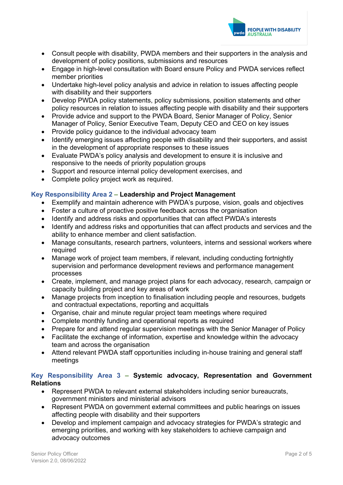

- Consult people with disability, PWDA members and their supporters in the analysis and development of policy positions, submissions and resources
- Engage in high-level consultation with Board ensure Policy and PWDA services reflect member priorities
- Undertake high-level policy analysis and advice in relation to issues affecting people with disability and their supporters
- Develop PWDA policy statements, policy submissions, position statements and other policy resources in relation to issues affecting people with disability and their supporters
- Provide advice and support to the PWDA Board, Senior Manager of Policy, Senior Manager of Policy, Senior Executive Team, Deputy CEO and CEO on key issues
- Provide policy guidance to the individual advocacy team
- Identify emerging issues affecting people with disability and their supporters, and assist in the development of appropriate responses to these issues
- Evaluate PWDA's policy analysis and development to ensure it is inclusive and responsive to the needs of priority population groups
- Support and resource internal policy development exercises, and
- Complete policy project work as required.

#### **Key Responsibility Area 2 – Leadership and Project Management**

- Exemplify and maintain adherence with PWDA's purpose, vision, goals and objectives
- Foster a culture of proactive positive feedback across the organisation
- Identify and address risks and opportunities that can affect PWDA's interests
- Identify and address risks and opportunities that can affect products and services and the ability to enhance member and client satisfaction.
- Manage consultants, research partners, volunteers, interns and sessional workers where required
- Manage work of project team members, if relevant, including conducting fortnightly supervision and performance development reviews and performance management processes
- Create, implement, and manage project plans for each advocacy, research, campaign or capacity building project and key areas of work
- Manage projects from inception to finalisation including people and resources, budgets and contractual expectations, reporting and acquittals
- Organise, chair and minute regular project team meetings where required
- Complete monthly funding and operational reports as required
- Prepare for and attend regular supervision meetings with the Senior Manager of Policy
- Facilitate the exchange of information, expertise and knowledge within the advocacy team and across the organisation
- Attend relevant PWDA staff opportunities including in-house training and general staff meetings

## **Key Responsibility Area 3 – Systemic advocacy, Representation and Government Relations**

- Represent PWDA to relevant external stakeholders including senior bureaucrats, government ministers and ministerial advisors
- Represent PWDA on government external committees and public hearings on issues affecting people with disability and their supporters
- Develop and implement campaign and advocacy strategies for PWDA's strategic and emerging priorities, and working with key stakeholders to achieve campaign and advocacy outcomes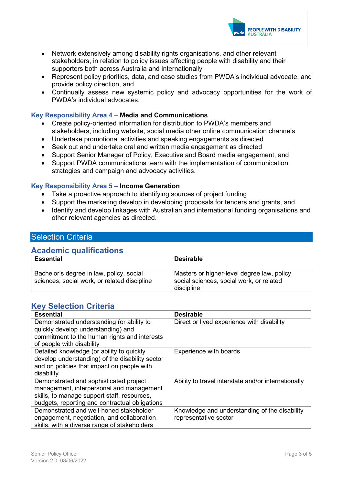

- Network extensively among disability rights organisations, and other relevant stakeholders, in relation to policy issues affecting people with disability and their supporters both across Australia and internationally
- Represent policy priorities, data, and case studies from PWDA's individual advocate, and provide policy direction, and
- Continually assess new systemic policy and advocacy opportunities for the work of PWDA's individual advocates.

#### **Key Responsibility Area 4 – Media and Communications**

- Create policy-oriented information for distribution to PWDA's members and stakeholders, including website, social media other online communication channels
- Undertake promotional activities and speaking engagements as directed
- Seek out and undertake oral and written media engagement as directed
- Support Senior Manager of Policy, Executive and Board media engagement, and
- Support PWDA communications team with the implementation of communication strategies and campaign and advocacy activities.

#### **Key Responsibility Area 5 – Income Generation**

- Take a proactive approach to identifying sources of project funding
- Support the marketing develop in developing proposals for tenders and grants, and
- Identify and develop linkages with Australian and international funding organisations and other relevant agencies as directed.

## Selection Criteria

## **Academic qualifications**

| <b>Essential</b>                                                                         | <b>Desirable</b>                                                                                      |
|------------------------------------------------------------------------------------------|-------------------------------------------------------------------------------------------------------|
| Bachelor's degree in law, policy, social<br>sciences, social work, or related discipline | Masters or higher-level degree law, policy,<br>social sciences, social work, or related<br>discipline |

# **Key Selection Criteria**

| <b>Essential</b>                                                                                                                                                                    | <b>Desirable</b>                                                       |
|-------------------------------------------------------------------------------------------------------------------------------------------------------------------------------------|------------------------------------------------------------------------|
| Demonstrated understanding (or ability to<br>quickly develop understanding) and<br>commitment to the human rights and interests                                                     | Direct or lived experience with disability                             |
| of people with disability                                                                                                                                                           |                                                                        |
| Detailed knowledge (or ability to quickly<br>develop understanding) of the disability sector<br>and on policies that impact on people with<br>disability                            | Experience with boards                                                 |
| Demonstrated and sophisticated project<br>management, interpersonal and management<br>skills, to manage support staff, resources,<br>budgets, reporting and contractual obligations | Ability to travel interstate and/or internationally                    |
| Demonstrated and well-honed stakeholder<br>engagement, negotiation, and collaboration<br>skills, with a diverse range of stakeholders                                               | Knowledge and understanding of the disability<br>representative sector |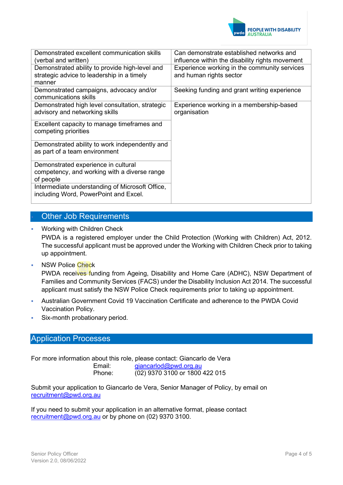

| Demonstrated excellent communication skills<br>(verbal and written)                      | Can demonstrate established networks and<br>influence within the disability rights movement |
|------------------------------------------------------------------------------------------|---------------------------------------------------------------------------------------------|
| Demonstrated ability to provide high-level and                                           | Experience working in the community services                                                |
| strategic advice to leadership in a timely<br>manner                                     | and human rights sector                                                                     |
| Demonstrated campaigns, advocacy and/or<br>communications skills                         | Seeking funding and grant writing experience                                                |
|                                                                                          |                                                                                             |
| Demonstrated high level consultation, strategic<br>advisory and networking skills        | Experience working in a membership-based<br>organisation                                    |
| Excellent capacity to manage timeframes and<br>competing priorities                      |                                                                                             |
| Demonstrated ability to work independently and<br>as part of a team environment          |                                                                                             |
| Demonstrated experience in cultural                                                      |                                                                                             |
|                                                                                          |                                                                                             |
| competency, and working with a diverse range<br>of people                                |                                                                                             |
| Intermediate understanding of Microsoft Office,<br>including Word, PowerPoint and Excel. |                                                                                             |

# Other Job Requirements

Working with Children Check

PWDA is a registered employer under the Child Protection (Working with Children) Act, 2012. The successful applicant must be approved under the Working with Children Check prior to taking up appointment.

NSW Police Check

PWDA receives funding from Ageing, Disability and Home Care (ADHC), NSW Department of Families and Community Services (FACS) under the Disability Inclusion Act 2014. The successful applicant must satisfy the NSW Police Check requirements prior to taking up appointment.

- Australian Government Covid 19 Vaccination Certificate and adherence to the PWDA Covid Vaccination Policy.
- Six-month probationary period.

#### Application Processes

For more information about this role, please contact: Giancarlo de Vera Email: [giancarlod@pwd.org.au](mailto:giancarlod@pwd.org.au)  Phone: (02) 9370 3100 or 1800 422 015

Submit your application to Giancarlo de Vera, Senior Manager of Policy, by email on [recruitment@pwd.org.au](mailto:recruitment@pwd.org.au)

If you need to submit your application in an alternative format, please contact [recruitment@pwd.org.au](mailto:recruitment@pwd.org.au) or by phone on (02) 9370 3100.